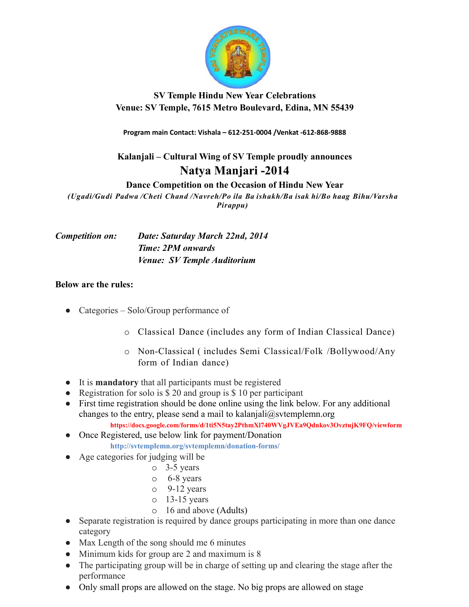

## **SV Temple Hindu New Year Celebrations Venue: SV Temple, 7615 Metro Boulevard, Edina, MN 55439**

**Program main Contact: Vishala – 612-251-0004 /Venkat -612-868-9888** 

## **Kalanjali – Cultural Wing of SV Temple proudly announces Natya Manjari -2014**

## **Dance Competition on the Occasion of Hindu New Year**

*(Ugadi/Gudi Padwa /Cheti Chand /Navreh/Po ila Ba ishakh/Ba isak hi/Bo haag Bihu/Varsha Pirappu)*

*Competition on: Date: Saturday March 22nd, 2014 Time: 2PM onwards Venue: SV Temple Auditorium*

## **Below are the rules:**

- Categories Solo/Group performance of
	- o Classical Dance (includes any form of Indian Classical Dance)
	- o Non-Classical ( includes Semi Classical/Folk /Bollywood/Any form of Indian dance)
- It is **mandatory** that all participants must be registered
- Registration for solo is \$20 and group is \$10 per participant
- First time registration should be done online using the link below. For any additional changes to the entry, please send a mail to kalanjali $@$ svtemplemn.org

**<https://docs.google.com/forms/d/1ti5N5tay2PthmXl740WVgJVEa9Qdnkov3OvztujK9FQ/viewform>**

- Once Registered, use below link for payment/Donation
	- **http://svtemplemn.org/svtemplemn/donation-forms/**
- Age categories for judging will be
	- o 3-5 years
	- o 6-8 years
	- o 9-12 years
	- o 13-15 years
	- o 16 and above (Adults)
- Separate registration is required by dance groups participating in more than one dance category
- Max Length of the song should me 6 minutes
- Minimum kids for group are 2 and maximum is 8
- The participating group will be in charge of setting up and clearing the stage after the performance
- Only small props are allowed on the stage. No big props are allowed on stage